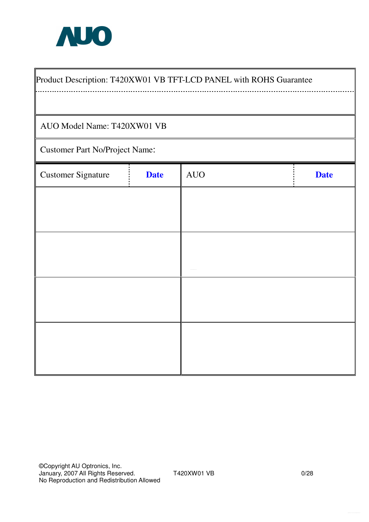

| Product Description: T420XW01 VB TFT-LCD PANEL with ROHS Guarantee |                             |            |             |  |  |  |  |  |
|--------------------------------------------------------------------|-----------------------------|------------|-------------|--|--|--|--|--|
|                                                                    |                             |            |             |  |  |  |  |  |
|                                                                    | AUO Model Name: T420XW01 VB |            |             |  |  |  |  |  |
| <b>Customer Part No/Project Name:</b>                              |                             |            |             |  |  |  |  |  |
| <b>Customer Signature</b>                                          | <b>Date</b>                 | <b>AUO</b> | <b>Date</b> |  |  |  |  |  |
|                                                                    |                             |            |             |  |  |  |  |  |
|                                                                    |                             |            |             |  |  |  |  |  |
|                                                                    |                             |            |             |  |  |  |  |  |
|                                                                    |                             |            |             |  |  |  |  |  |
|                                                                    |                             |            |             |  |  |  |  |  |
|                                                                    |                             |            |             |  |  |  |  |  |
|                                                                    |                             |            |             |  |  |  |  |  |
|                                                                    |                             |            |             |  |  |  |  |  |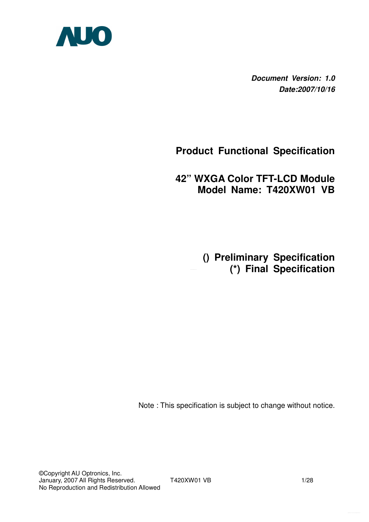

**Document Version: 1.0 Date:2007/10/16**

# **Product Functional Specification**

# **42" WXGA Color TFT-LCD Module Model Name: T420XW01 VB**

 **() Preliminary Specification (\*) Final Specification** 

Note : This specification is subject to change without notice.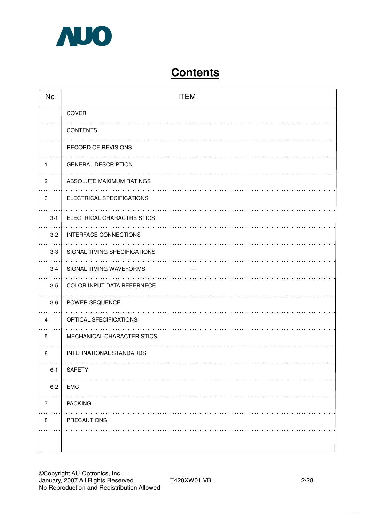

# **Contents**

| <b>No</b>      | <b>ITEM</b>                    |
|----------------|--------------------------------|
|                | COVER                          |
|                | <b>CONTENTS</b>                |
|                | RECORD OF REVISIONS            |
| $\mathbf{1}$   | <b>GENERAL DESCRIPTION</b>     |
| $\mathbf{2}$   | ABSOLUTE MAXIMUM RATINGS       |
| 3              | ELECTRICAL SPECIFICATIONS      |
| $3 - 1$        | ELECTRICAL CHARACTREISTICS     |
| $3 - 2$        | <b>INTERFACE CONNECTIONS</b>   |
| $3-3$          | SIGNAL TIMING SPECIFICATIONS   |
| $3 - 4$        | SIGNAL TIMING WAVEFORMS        |
| $3-5$          | COLOR INPUT DATA REFERNECE     |
| $3-6$          | POWER SEQUENCE                 |
| 4              | OPTICAL SFECIFICATIONS         |
| $\overline{5}$ | MECHANICAL CHARACTERISTICS     |
| 6              | <b>INTERNATIONAL STANDARDS</b> |
| $6 - 1$        | <b>SAFETY</b>                  |
| $6 - 2$        | <b>EMC</b>                     |
| $\overline{7}$ | <b>PACKING</b>                 |
| 8              | <b>PRECAUTIONS</b>             |
|                |                                |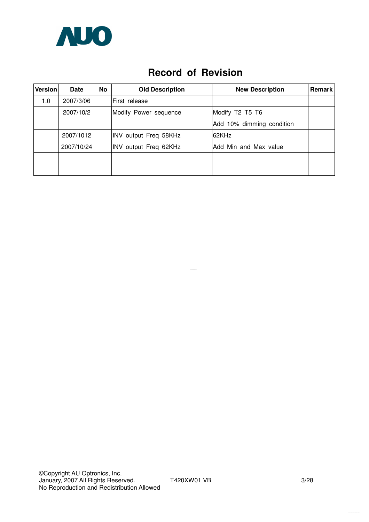

# **Record of Revision**

| <b>Version</b> | <b>Date</b> | <b>No</b> | <b>Old Description</b>       | <b>New Description</b>    | <b>Remark</b> |
|----------------|-------------|-----------|------------------------------|---------------------------|---------------|
| 1.0            | 2007/3/06   |           | First release                |                           |               |
|                | 2007/10/2   |           | Modify Power sequence        | Modify T2 T5 T6           |               |
|                |             |           |                              | Add 10% dimming condition |               |
|                | 2007/1012   |           | INV output Freq 58KHz        | 62KHz                     |               |
|                | 2007/10/24  |           | <b>INV</b> output Freq 62KHz | Add Min and Max value     |               |
|                |             |           |                              |                           |               |
|                |             |           |                              |                           |               |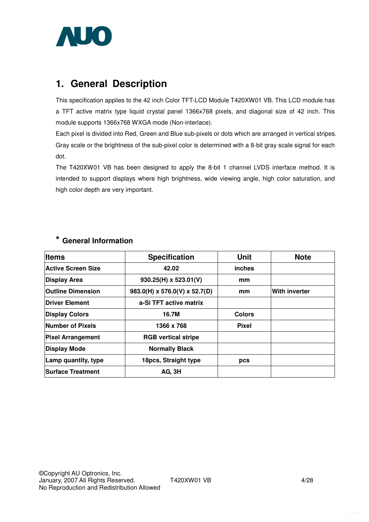

# **1. General Description**

This specification applies to the 42 inch Color TFT-LCD Module T420XW01 VB. This LCD module has a TFT active matrix type liquid crystal panel 1366x768 pixels, and diagonal size of 42 inch. This module supports 1366x768 WXGA mode (Non-interlace).

Each pixel is divided into Red, Green and Blue sub-pixels or dots which are arranged in vertical stripes. Gray scale or the brightness of the sub-pixel color is determined with a 8-bit gray scale signal for each dot.

The T420XW01 VB has been designed to apply the 8-bit 1 channel LVDS interface method. It is intended to support displays where high brightness, wide viewing angle, high color saturation, and high color depth are very important.

| <b>Items</b>              | <b>Specification</b>          | <b>Unit</b>   | <b>Note</b>          |
|---------------------------|-------------------------------|---------------|----------------------|
| <b>Active Screen Size</b> | 42.02                         | inches        |                      |
| Display Area              | $930.25(H) \times 523.01(V)$  | mm            |                      |
| <b>Outline Dimension</b>  | 983.0(H) x 576.0(V) x 52.7(D) | mm            | <b>With inverter</b> |
| <b>Driver Element</b>     | a-Si TFT active matrix        |               |                      |
| <b>Display Colors</b>     | 16.7M                         | <b>Colors</b> |                      |
| Number of Pixels          | 1366 x 768                    | <b>Pixel</b>  |                      |
| <b>Pixel Arrangement</b>  | <b>RGB vertical stripe</b>    |               |                      |
| Display Mode              | <b>Normally Black</b>         |               |                      |
| Lamp quantity, type       | 18pcs, Straight type          | pcs           |                      |
| <b>Surface Treatment</b>  | <b>AG, 3H</b>                 |               |                      |

# **\* General Information**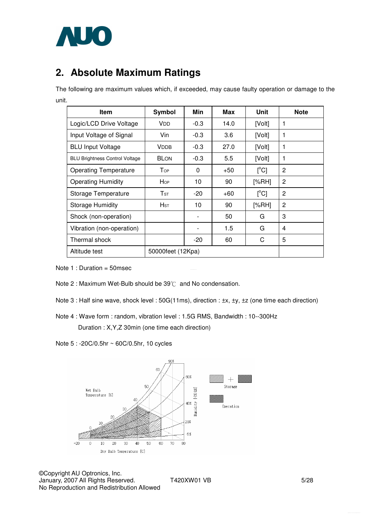

# **2. Absolute Maximum Ratings**

The following are maximum values which, if exceeded, may cause faulty operation or damage to the unit.

| Item                                  | <b>Symbol</b>         | Min    | Max   | Unit                      | <b>Note</b> |
|---------------------------------------|-----------------------|--------|-------|---------------------------|-------------|
| Logic/LCD Drive Voltage               | <b>V<sub>DD</sub></b> | $-0.3$ | 14.0  | [Volt]                    | 1           |
| Input Voltage of Signal               | Vin                   | $-0.3$ | 3.6   | [Volt]                    | 1           |
| <b>BLU Input Voltage</b>              | <b>VDDB</b>           | $-0.3$ | 27.0  | [Volt]                    | 1           |
| <b>BLU Brightness Control Voltage</b> | <b>BLON</b>           | $-0.3$ | 5.5   | [Volt]                    | 1           |
| <b>Operating Temperature</b>          | Top                   | 0      | +50   | $\lceil{^{\circ}C}\rceil$ | 2           |
| <b>Operating Humidity</b>             | <b>Hop</b>            | 10     | 90    | [%RH]                     | 2           |
| Storage Temperature                   | T <sub>ST</sub>       | -20    | $+60$ | $[^{\circ}C]$             | 2           |
| Storage Humidity                      | H <sub>ST</sub>       | 10     | 90    | [%RH]                     | 2           |
| Shock (non-operation)                 |                       |        | 50    | G                         | 3           |
| Vibration (non-operation)             |                       |        | 1.5   | G                         | 4           |
| Thermal shock                         |                       | -20    | 60    | C                         | 5           |
| Altitude test                         | 50000feet (12Kpa)     |        |       |                           |             |

Note 1 : Duration = 50msec

- Note 2 : Maximum Wet-Bulb should be 39℃ and No condensation.
- Note 3 : Half sine wave, shock level : 50G(11ms), direction : ±x, ±y, ±z (one time each direction)

Note 4 : Wave form : random, vibration level : 1.5G RMS, Bandwidth : 10--300Hz Duration : X,Y,Z 30min (one time each direction)

Note 5 : -20C/0.5hr ~ 60C/0.5hr, 10 cycles



©Copyright AU Optronics, Inc. January, 2007 All Rights Reserved. T420XW01 VB 5/28 No Reproduction and Redistribution Allowed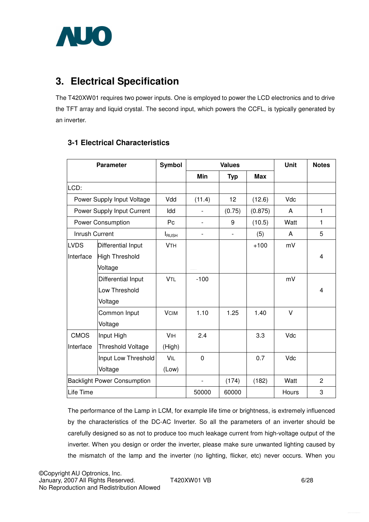

# **3. Electrical Specification**

The T420XW01 requires two power inputs. One is employed to power the LCD electronics and to drive the TFT array and liquid crystal. The second input, which powers the CCFL, is typically generated by an inverter.

## **3-1 Electrical Characteristics**

| <b>Parameter</b> |                                    | Symbol        |                          | <b>Values</b> |            | Unit  | <b>Notes</b>   |
|------------------|------------------------------------|---------------|--------------------------|---------------|------------|-------|----------------|
|                  |                                    |               | <b>Min</b>               | <b>Typ</b>    | <b>Max</b> |       |                |
| LCD:             |                                    |               |                          |               |            |       |                |
|                  | Power Supply Input Voltage         | Vdd           | (11.4)                   | 12            | (12.6)     | Vdc   |                |
|                  | Power Supply Input Current         | Idd           | $\overline{\phantom{0}}$ | (0.75)        | (0.875)    | A     | 1              |
|                  | <b>Power Consumption</b>           | Pc            |                          | 9             | (10.5)     | Watt  | 1              |
| Inrush Current   |                                    | <b>I</b> RUSH |                          |               | (5)        | A     | 5              |
| <b>LVDS</b>      | Differential Input                 | <b>VTH</b>    |                          |               | $+100$     | mV    |                |
| Interface        | <b>High Threshold</b>              |               |                          |               |            |       | 4              |
|                  | Voltage                            |               |                          |               |            |       |                |
|                  | Differential Input                 | <b>VTL</b>    | $-100$                   |               |            | mV    |                |
|                  | Low Threshold                      |               |                          |               |            |       | 4              |
|                  | Voltage                            |               |                          |               |            |       |                |
|                  | Common Input                       | <b>VCIM</b>   | 1.10                     | 1.25          | 1.40       | V     |                |
|                  | Voltage                            |               |                          |               |            |       |                |
| <b>CMOS</b>      | Input High                         | <b>VIH</b>    | 2.4                      |               | 3.3        | Vdc   |                |
| Interface        | Threshold Voltage                  | (High)        |                          |               |            |       |                |
|                  | Input Low Threshold                | <b>VIL</b>    | $\mathbf 0$              |               | 0.7        | Vdc   |                |
|                  | Voltage                            | (Low)         |                          |               |            |       |                |
|                  | <b>Backlight Power Consumption</b> |               |                          | (174)         | (182)      | Watt  | $\overline{2}$ |
| Life Time        |                                    |               | 50000                    | 60000         |            | Hours | 3              |

The performance of the Lamp in LCM, for example life time or brightness, is extremely influenced by the characteristics of the DC-AC Inverter. So all the parameters of an inverter should be carefully designed so as not to produce too much leakage current from high-voltage output of the inverter. When you design or order the inverter, please make sure unwanted lighting caused by the mismatch of the lamp and the inverter (no lighting, flicker, etc) never occurs. When you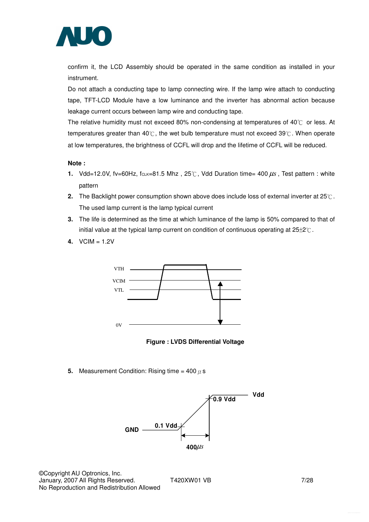

confirm it, the LCD Assembly should be operated in the same condition as installed in your instrument.

Do not attach a conducting tape to lamp connecting wire. If the lamp wire attach to conducting tape, TFT-LCD Module have a low luminance and the inverter has abnormal action because leakage current occurs between lamp wire and conducting tape.

The relative humidity must not exceed 80% non-condensing at temperatures of 40℃ or less. At temperatures greater than 40℃, the wet bulb temperature must not exceed 39℃. When operate at low temperatures, the brightness of CCFL will drop and the lifetime of CCFL will be reduced.

#### **Note :**

- **1.** Vdd=12.0V, fv=60Hz, fcLK=81.5 Mhz, 25℃, Vdd Duration time= 400  $\mu s$ , Test pattern : white pattern
- **2.** The Backlight power consumption shown above does include loss of external inverter at 25℃. The used lamp current is the lamp typical current
- **3.** The life is determined as the time at which luminance of the lamp is 50% compared to that of initial value at the typical lamp current on condition of continuous operating at  $25\pm2°C$ .
- **4.** VCIM = 1.2V



**Figure : LVDS Differential Voltage** 

**5.** Measurement Condition: Rising time =  $400 \mu s$ 



©Copyright AU Optronics, Inc. January, 2007 All Rights Reserved. T420XW01 VB 7/28 No Reproduction and Redistribution Allowed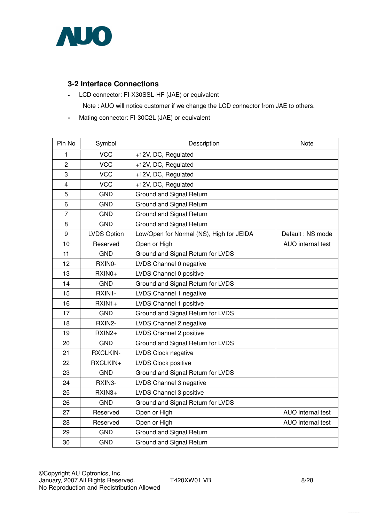

### **3-2 Interface Connections**

- **-** LCD connector: FI-X30SSL-HF (JAE) or equivalent Note : AUO will notice customer if we change the LCD connector from JAE to others.
- **-** Mating connector: FI-30C2L (JAE) or equivalent

| Pin No                  | Symbol             | Description                              | Note              |
|-------------------------|--------------------|------------------------------------------|-------------------|
| 1                       | <b>VCC</b>         | +12V, DC, Regulated                      |                   |
| $\overline{2}$          | <b>VCC</b>         | +12V, DC, Regulated                      |                   |
| 3                       | <b>VCC</b>         | +12V, DC, Regulated                      |                   |
| $\overline{\mathbf{4}}$ | <b>VCC</b>         | +12V, DC, Regulated                      |                   |
| 5                       | <b>GND</b>         | Ground and Signal Return                 |                   |
| 6                       | <b>GND</b>         | Ground and Signal Return                 |                   |
| $\overline{7}$          | <b>GND</b>         | Ground and Signal Return                 |                   |
| 8                       | <b>GND</b>         | Ground and Signal Return                 |                   |
| 9                       | <b>LVDS Option</b> | Low/Open for Normal (NS), High for JEIDA | Default: NS mode  |
| 10                      | Reserved           | Open or High                             | AUO internal test |
| 11                      | <b>GND</b>         | Ground and Signal Return for LVDS        |                   |
| 12                      | RXIN0-             | LVDS Channel 0 negative                  |                   |
| 13                      | RXIN0+             | LVDS Channel 0 positive                  |                   |
| 14                      | <b>GND</b>         | Ground and Signal Return for LVDS        |                   |
| 15                      | RXIN1-             | LVDS Channel 1 negative                  |                   |
| 16                      | $RXIN1+$           | LVDS Channel 1 positive                  |                   |
| 17                      | <b>GND</b>         | Ground and Signal Return for LVDS        |                   |
| 18                      | RXIN2-             | LVDS Channel 2 negative                  |                   |
| 19                      | RXIN2+             | LVDS Channel 2 positive                  |                   |
| 20                      | <b>GND</b>         | Ground and Signal Return for LVDS        |                   |
| 21                      | <b>RXCLKIN-</b>    | LVDS Clock negative                      |                   |
| 22                      | RXCLKIN+           | LVDS Clock positive                      |                   |
| 23                      | <b>GND</b>         | Ground and Signal Return for LVDS        |                   |
| 24                      | RXIN3-             | LVDS Channel 3 negative                  |                   |
| 25                      | $RXIN3+$           | LVDS Channel 3 positive                  |                   |
| 26                      | <b>GND</b>         | Ground and Signal Return for LVDS        |                   |
| 27                      | Reserved           | Open or High                             | AUO internal test |
| 28                      | Reserved           | Open or High                             | AUO internal test |
| 29                      | <b>GND</b>         | Ground and Signal Return                 |                   |
| 30                      | <b>GND</b>         | Ground and Signal Return                 |                   |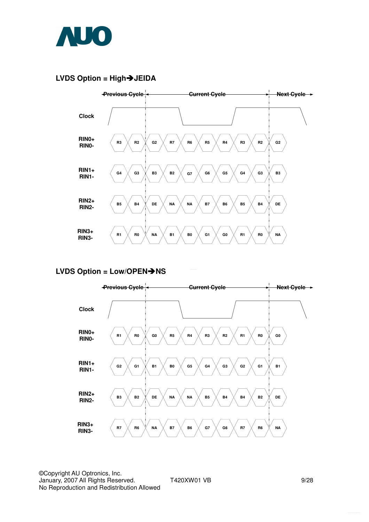

## **LVDS Option = HighJEIDA**



## **LVDS Option = Low/OPEN→NS**



©Copyright AU Optronics, Inc. January, 2007 All Rights Reserved. T420XW01 VB 3/28 No Reproduction and Redistribution Allowed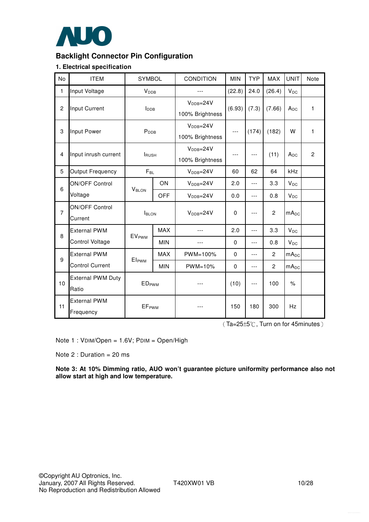

## **Backlight Connector Pin Configuration**

#### **1. Electrical specification**

| <b>No</b>      | <b>ITEM</b>                       | <b>SYMBOL</b>            |            | <b>CONDITION</b>                          | <b>MIN</b>  | <b>TYP</b> | MAX            | <b>UNIT</b>      | Note           |
|----------------|-----------------------------------|--------------------------|------------|-------------------------------------------|-------------|------------|----------------|------------------|----------------|
| 1              | Input Voltage                     | <b>V</b> <sub>DDB</sub>  |            | ---                                       | (22.8)      | 24.0       | (26.4)         | $V_{DC}$         |                |
| $\overline{c}$ | Input Current                     | I <sub>DB</sub>          |            | $V_{\text{DDB}} = 24V$<br>100% Brightness | (6.93)      | (7.3)      | (7.66)         | $A_{DC}$         | $\mathbf{1}$   |
| 3              | <b>Input Power</b>                | P <sub>DDB</sub>         |            | $V_{\text{DDB}} = 24V$<br>100% Brightness | $---$       | (174)      | (182)          | W                | $\mathbf{1}$   |
| 4              | Input inrush current              | <b>IRUSH</b>             |            | $VDB=24V$<br>100% Brightness              | $---$       | $---$      | (11)           | A <sub>DC</sub>  | $\overline{2}$ |
| 5              | Output Frequency                  | $F_{BL}$                 |            | $V_{\text{DDB}} = 24V$                    | 60          | 62         | 64             | kHz              |                |
| 6              | <b>ON/OFF Control</b>             |                          | ON         | $V_{\text{DDB}} = 24V$                    | 2.0         | $---$      | 3.3            | $V_{DC}$         |                |
|                | Voltage                           | <b>V</b> BLON            | <b>OFF</b> | $VDB=24V$                                 | 0.0         | $---$      | 0.8            | $V_{DC}$         |                |
| $\overline{7}$ | ON/OFF Control<br>Current         | <b>I</b> BLON            |            | $V_{\text{DDB}} = 24V$                    | $\mathbf 0$ | $---$      | $\overline{2}$ | mA <sub>DC</sub> |                |
| 8              | <b>External PWM</b>               | <b>EVPWM</b>             | <b>MAX</b> | ---                                       | 2.0         | $---$      | 3.3            | $V_{DC}$         |                |
|                | Control Voltage                   |                          | <b>MIN</b> |                                           | 0           | $- - -$    | 0.8            | $V_{DC}$         |                |
| 9              | <b>External PWM</b>               | <b>El<sub>PWM</sub></b>  | <b>MAX</b> | PWM=100%                                  | $\Omega$    | $---$      | $\overline{2}$ | mA <sub>DC</sub> |                |
|                | <b>Control Current</b>            |                          | <b>MIN</b> | PWM=10%                                   | $\mathbf 0$ | $---$      | $\mathbf{2}$   | $mA_{DC}$        |                |
| 10             | <b>External PWM Duty</b><br>Ratio | <b>ED</b> <sub>PWM</sub> |            |                                           | (10)        | ---        | 100            | $\%$             |                |
| 11             | <b>External PWM</b><br>Frequency  | <b>EF<sub>PWM</sub></b>  |            |                                           | 150         | 180        | 300            | Hz               |                |

(Ta=25±5℃, Turn on for 45minutes)

Note 1 : VDIM/Open = 1.6V; PDIM = Open/High

Note 2 : Duration = 20 ms

**Note 3: At 10% Dimming ratio, AUO won't guarantee picture uniformity performance also not allow start at high and low temperature.**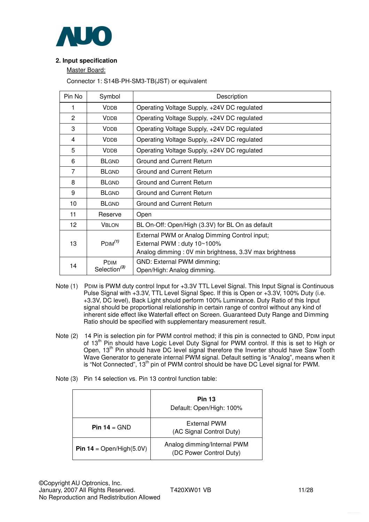

#### **2. Input specification**

#### Master Board:

Connector 1: S14B-PH-SM3-TB(JST) or equivalent

| Pin No | Symbol                           | Description                                                                                                                            |
|--------|----------------------------------|----------------------------------------------------------------------------------------------------------------------------------------|
| 1      | <b>VDDB</b>                      | Operating Voltage Supply, +24V DC regulated                                                                                            |
| 2      | <b>VDDB</b>                      | Operating Voltage Supply, +24V DC regulated                                                                                            |
| 3      | <b>VDDB</b>                      | Operating Voltage Supply, +24V DC regulated                                                                                            |
| 4      | <b>VDDB</b>                      | Operating Voltage Supply, +24V DC regulated                                                                                            |
| 5      | <b>VDDB</b>                      | Operating Voltage Supply, +24V DC regulated                                                                                            |
| 6      | <b>BLGND</b>                     | Ground and Current Return                                                                                                              |
| 7      | <b>BLGND</b>                     | Ground and Current Return                                                                                                              |
| 8      | <b>BLGND</b>                     | Ground and Current Return                                                                                                              |
| 9      | <b>BLGND</b>                     | Ground and Current Return                                                                                                              |
| 10     | <b>BLGND</b>                     | Ground and Current Return                                                                                                              |
| 11     | Reserve                          | Open                                                                                                                                   |
| 12     | <b>VBLON</b>                     | BL On-Off: Open/High (3.3V) for BL On as default                                                                                       |
| 13     | PDM <sup>(1)</sup>               | External PWM or Analog Dimming Control input;<br>External PWM : duty 10~100%<br>Analog dimming: 0V min brightness, 3.3V max brightness |
| 14     | PDIM<br>Selection <sup>(3)</sup> | GND: External PWM dimming;<br>Open/High: Analog dimming.                                                                               |

- Note (1) PDIM is PWM duty control Input for +3.3V TTL Level Signal. This Input Signal is Continuous Pulse Signal with +3.3V, TTL Level Signal Spec. If this is Open or +3.3V, 100% Duty (i.e. +3.3V, DC level), Back Light should perform 100% Luminance. Duty Ratio of this Input signal should be proportional relationship in certain range of control without any kind of inherent side effect like Waterfall effect on Screen. Guaranteed Duty Range and Dimming Ratio should be specified with supplementary measurement result.
- Note (2) 14 Pin is selection pin for PWM control method; if this pin is connected to GND, PDIM input of 13<sup>th</sup> Pin should have Logic Level Duty Signal for PWM control. If this is set to High or Open, 13<sup>th</sup> Pin should have DC level signal therefore the Inverter should have Saw Tooth Wave Generator to generate internal PWM signal. Default setting is "Analog", means when it is "Not Connected", 13<sup>th</sup> pin of PWM control should be have DC Level signal for PWM.

|                                    | <b>Pin 13</b><br>Default: Open/High: 100%              |
|------------------------------------|--------------------------------------------------------|
| Pin $14 = GND$                     | <b>External PWM</b><br>(AC Signal Control Duty)        |
| <b>Pin 14</b> = Open/High $(5.0V)$ | Analog dimming/Internal PWM<br>(DC Power Control Duty) |

Note (3) Pin 14 selection vs. Pin 13 control function table: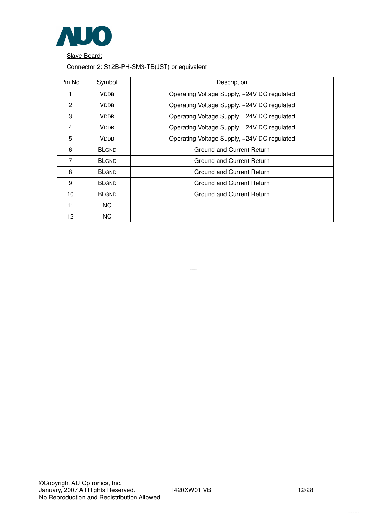

Slave Board:

Connector 2: S12B-PH-SM3-TB(JST) or equivalent

| Pin No | Symbol       | Description                                 |
|--------|--------------|---------------------------------------------|
|        | <b>VDDB</b>  | Operating Voltage Supply, +24V DC regulated |
| 2      | <b>VDDB</b>  | Operating Voltage Supply, +24V DC regulated |
| 3      | <b>VDDB</b>  | Operating Voltage Supply, +24V DC regulated |
| 4      | <b>VDDB</b>  | Operating Voltage Supply, +24V DC regulated |
| 5      | <b>VDDB</b>  | Operating Voltage Supply, +24V DC regulated |
| 6      | <b>BLGND</b> | Ground and Current Return                   |
| 7      | <b>BLGND</b> | Ground and Current Return                   |
| 8      | <b>BLGND</b> | Ground and Current Return                   |
| 9      | <b>BLGND</b> | Ground and Current Return                   |
| 10     | <b>BLGND</b> | Ground and Current Return                   |
| 11     | NC.          |                                             |
| 12     | NC.          |                                             |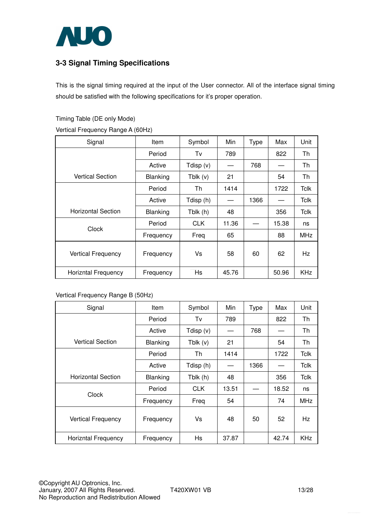

# **3-3 Signal Timing Specifications**

This is the signal timing required at the input of the User connector. All of the interface signal timing should be satisfied with the following specifications for it's proper operation.

Timing Table (DE only Mode)

Vertical Frequency Range A (60Hz)

| Signal                     | Item      | Symbol      | Min   | Type | Max   | Unit        |
|----------------------------|-----------|-------------|-------|------|-------|-------------|
|                            | Period    | Tv          | 789   |      | 822   | Th          |
|                            | Active    | Tdisp $(v)$ |       | 768  |       | Th          |
| <b>Vertical Section</b>    | Blanking  | Tblk $(v)$  | 21    |      | 54    | Th          |
|                            | Period    | Th          | 1414  |      | 1722  | <b>Tclk</b> |
|                            | Active    | Tdisp (h)   |       | 1366 |       | <b>Tclk</b> |
| <b>Horizontal Section</b>  | Blanking  | Tblk $(h)$  | 48    |      | 356   | <b>Tclk</b> |
| Clock                      | Period    | <b>CLK</b>  | 11.36 |      | 15.38 | ns          |
|                            | Frequency | Freq        | 65    |      | 88    | MHz         |
| <b>Vertical Frequency</b>  | Frequency | Vs          | 58    | 60   | 62    | Hz          |
| <b>Horizntal Frequency</b> | Frequency | Hs          | 45.76 |      | 50.96 | KHz         |

#### Vertical Frequency Range B (50Hz)

| Signal                     | Item            | Symbol      | Min   | <b>Type</b> | Max   | Unit        |
|----------------------------|-----------------|-------------|-------|-------------|-------|-------------|
|                            | Period          | Tv          | 789   |             | 822   | Th          |
|                            | Active          | Tdisp $(v)$ |       | 768         |       | Th          |
| <b>Vertical Section</b>    | Blanking        | Tblk $(v)$  | 21    |             | 54    | Th          |
|                            | Period          | Th          | 1414  |             | 1722  | <b>Tclk</b> |
|                            | Active          | Tdisp (h)   |       | 1366        |       | <b>Tclk</b> |
| <b>Horizontal Section</b>  | <b>Blanking</b> | Tblk (h)    | 48    |             | 356   | <b>Tclk</b> |
| Clock                      | Period          | <b>CLK</b>  | 13.51 |             | 18.52 | ns          |
|                            | Frequency       | Freq        | 54    |             | 74    | MHz         |
| <b>Vertical Frequency</b>  | Frequency       | Vs          | 48    | 50          | 52    | Hz          |
| <b>Horizntal Frequency</b> | Frequency       | <b>Hs</b>   | 37.87 |             | 42.74 | KHz         |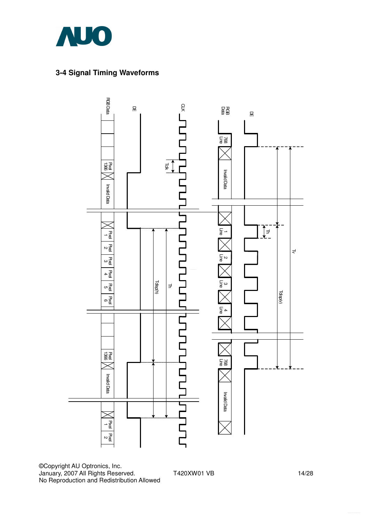

# **3-4 Signal Timing Waveforms**



©Copyright AU Optronics, Inc. January, 2007 All Rights Reserved. T420XW01 VB 14/28 No Reproduction and Redistribution Allowed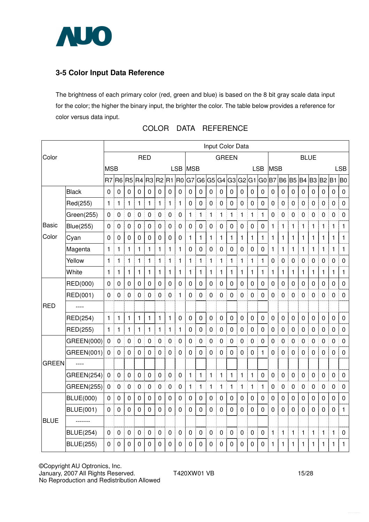

## **3-5 Color Input Data Reference**

The brightness of each primary color (red, green and blue) is based on the 8 bit gray scale data input for the color; the higher the binary input, the brighter the color. The table below provides a reference for color versus data input.

|              |                   | Input Color Data           |                |                |                |                |                |              |                     |                |             |                |             |                   |                   |                |                |              |                |                |                |                |                |                |              |
|--------------|-------------------|----------------------------|----------------|----------------|----------------|----------------|----------------|--------------|---------------------|----------------|-------------|----------------|-------------|-------------------|-------------------|----------------|----------------|--------------|----------------|----------------|----------------|----------------|----------------|----------------|--------------|
| Color        |                   | <b>RED</b><br><b>GREEN</b> |                |                | <b>BLUE</b>    |                |                |              |                     |                |             |                |             |                   |                   |                |                |              |                |                |                |                |                |                |              |
|              |                   | <b>MSB</b>                 |                |                |                |                |                |              | <b>LSB</b>          | MSB            |             |                |             |                   |                   |                | <b>LSB</b>     | <b>MSB</b>   |                |                |                |                |                |                | <b>LSB</b>   |
|              |                   | R <sub>7</sub>             | R <sub>6</sub> | R <sub>5</sub> | R <sub>4</sub> | R <sub>3</sub> | R <sub>2</sub> |              | $R1$ R <sub>0</sub> |                | G7 G6 G5    |                |             |                   | G4 G3 G2 G1 G0 B7 |                |                |              | <b>B6 B5</b>   |                | B <sub>4</sub> | B <sub>3</sub> | B <sub>2</sub> | <b>B1</b>      | <b>BO</b>    |
|              | <b>Black</b>      | $\mathbf 0$                | $\mathbf 0$    | $\mathbf 0$    | 0              | $\mathbf 0$    | $\mathbf 0$    | $\pmb{0}$    | $\mathbf 0$         | 0              | $\mathbf 0$ | $\pmb{0}$      | $\mathbf 0$ | $\pmb{0}$         | $\pmb{0}$         | $\mathbf 0$    | $\pmb{0}$      | 0            | $\mathbf 0$    | $\mathbf 0$    | $\mathbf 0$    | $\mathbf 0$    | $\pmb{0}$      | $\mathbf 0$    | $\mathbf 0$  |
|              | Red(255)          | 1                          | 1              | $\mathbf{1}$   | 1              | 1              | 1              | 1            | 1                   | 0              | 0           | 0              | 0           | 0                 | $\mathbf 0$       | 0              | 0              | 0            | $\mathbf 0$    | $\mathbf 0$    | 0              | 0              | 0              | $\mathbf 0$    | $\mathbf 0$  |
|              | Green(255)        | 0                          | $\mathbf 0$    | $\mathbf 0$    | 0              | $\mathbf 0$    | 0              | $\pmb{0}$    | 0                   | 1              | 1           | 1              | 1           | 1                 | 1                 | 1              | 1              | 0            | $\mathbf 0$    | $\mathbf 0$    | $\mathbf 0$    | 0              | $\pmb{0}$      | $\mathbf 0$    | $\pmb{0}$    |
| Basic        | <b>Blue(255)</b>  | $\mathbf 0$                | $\mathbf 0$    | $\mathbf 0$    | 0              | $\mathbf 0$    | $\mathbf 0$    | $\pmb{0}$    | $\mathbf 0$         | $\mathbf 0$    | $\mathbf 0$ | $\mathbf 0$    | 0           | 0                 | $\mathbf 0$       | $\mathbf 0$    | 0              | 1            | 1              | 1              | 1              | 1              | $\mathbf{1}$   | 1              | $\mathbf{1}$ |
| Color        | Cyan              | $\mathbf 0$                | 0              | $\mathbf 0$    | 0              | $\mathbf 0$    | 0              | $\mathbf 0$  | $\mathbf 0$         | 1              | 1           | $\mathbf{1}$   | 1           | 1                 | 1                 | 1              | 1              | $\mathbf{1}$ | $\mathbf{1}$   | $\mathbf{1}$   | 1              | 1              | $\mathbf{1}$   | 1              | $\mathbf{1}$ |
|              | Magenta           | $\mathbf{1}$               | 1              | $\mathbf{1}$   | 1              | $\mathbf{1}$   | 1              | 1            | 1                   | 0              | $\mathbf 0$ | $\pmb{0}$      | $\pmb{0}$   | $\mathbf 0$       | $\mathbf 0$       | $\mathbf 0$    | 0              | 1            | 1              | $\mathbf{1}$   | 1              | 1              | $\mathbf{1}$   | $\mathbf{1}$   | $\mathbf{1}$ |
|              | Yellow            | $\mathbf{1}$               | 1              | $\mathbf{1}$   | 1              | $\mathbf{1}$   | 1              | 1            | 1                   | 1              | 1           | 1              | 1           | 1                 | 1                 | 1              | 1              | 0            | $\mathbf 0$    | $\mathbf 0$    | 0              | 0              | 0              | $\mathbf 0$    | $\mathbf 0$  |
|              | White             | 1                          | 1              | $\mathbf{1}$   | 1              | 1              | 1              | 1            | 1                   | ſ              | 1           | 1              | 1           | 1                 | 1                 | 1              | 1              | 1            | 1              | $\mathbf{1}$   | 1              | 1              | 1              | 1              | $\mathbf{1}$ |
|              | RED(000)          | $\mathbf 0$                | $\mathbf 0$    | $\mathbf 0$    | 0              | 0              | $\mathbf 0$    | $\pmb{0}$    | $\mathbf 0$         | 0              | $\mathbf 0$ | $\pmb{0}$      | $\mathbf 0$ | $\pmb{0}$         | $\mathbf 0$       | $\mathbf 0$    | 0              | $\pmb{0}$    | $\mathbf 0$    | $\mathbf 0$    | 0              | 0              | $\mathbf 0$    | $\mathbf{0}$   | $\mathbf 0$  |
|              | RED(001)          | $\mathbf 0$                | $\mathbf 0$    | 0              | 0              | 0              | $\mathbf 0$    | $\mathbf 0$  | 1                   | 0              | 0           | 0              | $\mathbf 0$ | $\mathbf 0$       | $\mathbf 0$       | $\mathbf 0$    | 0              | $\mathbf 0$  | $\overline{0}$ | $\mathbf 0$    | 0              | 0              | $\mathbf 0$    | $\mathbf 0$    | $\pmb{0}$    |
| <b>RED</b>   | $---$             |                            |                |                |                |                |                |              |                     |                |             |                |             |                   |                   |                |                |              |                |                |                |                |                |                |              |
|              | RED(254)          | 1                          | 1              | 1              | $\mathbf{1}$   | 1              | 1              | 1            | $\mathbf 0$         | $\overline{0}$ | $\mathbf 0$ | $\overline{0}$ | $\mathbf 0$ | $\mathbf 0$       | $\mathbf 0$       | $\overline{0}$ | $\overline{0}$ | $\pmb{0}$    | $\overline{0}$ | $\overline{0}$ | 0              | $\overline{0}$ | $\mathbf 0$    | $\overline{0}$ | $\pmb{0}$    |
|              | RED(255)          | 1                          | 1              | $\mathbf{1}$   | 1              | $\mathbf{1}$   | 1              | $\mathbf{1}$ | 1                   | 0              | $\mathbf 0$ | $\pmb{0}$      | 0           | 0                 | $\mathbf 0$       | $\mathbf 0$    | 0              | 0            | $\mathbf 0$    | $\mathbf 0$    | 0              | 0              | $\pmb{0}$      | $\mathbf 0$    | $\pmb{0}$    |
|              | GREEN(000)        | $\boldsymbol{0}$           | 0              | $\mathbf 0$    | 0              | $\pmb{0}$      | 0              | $\pmb{0}$    | $\mathbf 0$         | $\mathbf 0$    | $\mathbf 0$ | $\pmb{0}$      | 0           | 0                 | $\mathbf 0$       | $\mathbf 0$    | 0              | 0            | $\mathbf 0$    | $\mathbf 0$    | 0              | 0              | $\pmb{0}$      | 0              | $\mathbf 0$  |
|              | GREEN(001)        | $\mathbf 0$                | $\mathbf 0$    | $\mathbf 0$    | 0              | $\mathbf 0$    | $\mathbf 0$    | $\pmb{0}$    | 0                   | 0              | 0           | $\mathbf 0$    | 0           | 0                 | $\mathbf 0$       | $\mathbf 0$    | 1              | 0            | $\Omega$       | $\mathbf 0$    | 0              | 0              | $\mathbf 0$    | $\mathbf 0$    | $\pmb{0}$    |
| <b>GREEN</b> | ----              |                            |                |                |                |                |                |              |                     |                |             |                |             |                   |                   |                |                |              |                |                |                |                |                |                |              |
|              | <b>GREEN(254)</b> | $\mathbf 0$                | $\mathbf 0$    | $\mathbf 0$    | $\mathbf 0$    | $\mathbf 0$    | 0              | $\mathbf 0$  | $\mathbf 0$         | 1              | 1           | $\mathbf{1}$   | 1           | $\mathbf{1}$<br>I | 1                 | 1              | $\mathbf 0$    | $\mathbf 0$  | $\mathbf 0$    | $\mathbf 0$    | $\mathbf 0$    | $\mathbf 0$    | $\mathbf 0$    | $\mathbf 0$    | $\mathbf 0$  |
|              | <b>GREEN(255)</b> | $\mathbf 0$                | $\mathbf 0$    | $\mathbf 0$    | 0              | $\pmb{0}$      | $\pmb{0}$      | $\pmb{0}$    | $\mathbf 0$         | 1              | 1           | 1              | 1           | 1                 | 1                 | 1              | 1              | 0            | $\mathbf 0$    | $\pmb{0}$      | 0              | 0              | $\pmb{0}$      | $\mathbf 0$    | $\pmb{0}$    |
|              | <b>BLUE(000)</b>  | 0                          | $\mathbf 0$    | 0              | 0              | $\mathbf 0$    | $\mathbf 0$    | $\mathbf 0$  | 0                   | $\mathbf 0$    | $\mathbf 0$ | $\mathbf 0$    | 0           | $\mathbf 0$       | 0                 | $\mathbf 0$    | 0              | $\mathbf 0$  | $\mathbf 0$    | $\mathbf 0$    | 0              | 0              | $\mathbf 0$    | $\mathbf 0$    | $\pmb{0}$    |
|              | <b>BLUE(001)</b>  | $\Omega$                   | $\mathbf 0$    | $\mathbf 0$    | $\mathbf 0$    | $\mathbf 0$    | $\mathbf 0$    | $\pmb{0}$    | 0                   | $\mathbf 0$    | $\mathbf 0$ | $\mathbf 0$    | 0           | $\pmb{0}$         | $\mathbf 0$       | $\mathbf 0$    | $\Omega$       | 0            | $\mathbf 0$    | $\mathbf 0$    | 0              | 0              | $\mathbf 0$    | $\mathbf 0$    | $\mathbf{1}$ |
| <b>BLUE</b>  | -------           |                            |                |                |                |                |                |              |                     |                |             |                |             |                   |                   |                |                |              |                |                |                |                |                |                |              |
|              | <b>BLUE(254)</b>  | 0                          | $\mathbf 0$    | $\mathbf 0$    | 0              | $\mathbf 0$    | 0              | $\mathbf 0$  | $\mathbf 0$         | $\mathbf 0$    | $\mathbf 0$ | $\mathbf 0$    | $\mathbf 0$ | $\mathbf 0$       | $\mathbf 0$       | $\mathbf 0$    | $\mathbf 0$    | $\mathbf{1}$ | $\mathbf{1}$   | $\mathbf{1}$   | 1              | 1              | $\mathbf{1}$   | $\mathbf{1}$   | $\mathbf 0$  |
|              | <b>BLUE(255)</b>  | 0                          | 0              | 0              | 0              | 0              | 0              | 0            | 0                   | 0              | 0           | 0              | 0           | 0                 | 0                 | 0              | 0              | 1            | 1              | 1              | 1              | 1              | $\mathbf{1}$   | 1              | $\mathbf{1}$ |

# COLOR DATA REFERENCE

©Copyright AU Optronics, Inc. January, 2007 All Rights Reserved. T420XW01 VB 15/28 No Reproduction and Redistribution Allowed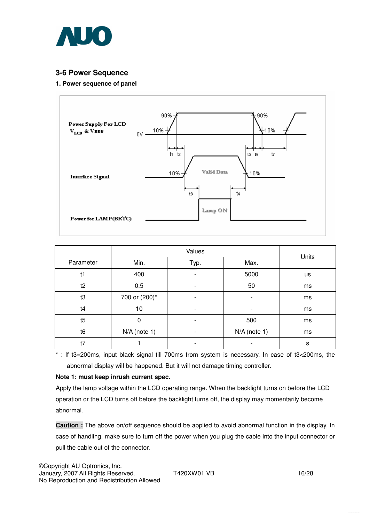

# **3-6 Power Sequence**

#### **1. Power sequence of panel**



|           |                | Units                    |                |    |
|-----------|----------------|--------------------------|----------------|----|
| Parameter | Min.           | Typ.                     | Max.           |    |
| t1        | 400            | $\overline{\phantom{a}}$ | 5000           | us |
| t2        | 0.5            | $\overline{\phantom{a}}$ | 50             | ms |
| t3        | 700 or (200)*  | $\overline{\phantom{a}}$ |                | ms |
| t4        | 10             | $\overline{\phantom{a}}$ |                | ms |
| t5        | 0              | $\overline{\phantom{a}}$ | 500            | ms |
| t6        | $N/A$ (note 1) | $\overline{\phantom{a}}$ | $N/A$ (note 1) | ms |
| t7        |                |                          |                | s  |

\* : If t3=200ms, input black signal till 700ms from system is necessary. In case of t3<200ms, the abnormal display will be happened. But it will not damage timing controller.

#### **Note 1: must keep inrush current spec.**

Apply the lamp voltage within the LCD operating range. When the backlight turns on before the LCD operation or the LCD turns off before the backlight turns off, the display may momentarily become abnormal.

**Caution :** The above on/off sequence should be applied to avoid abnormal function in the display. In case of handling, make sure to turn off the power when you plug the cable into the input connector or pull the cable out of the connector.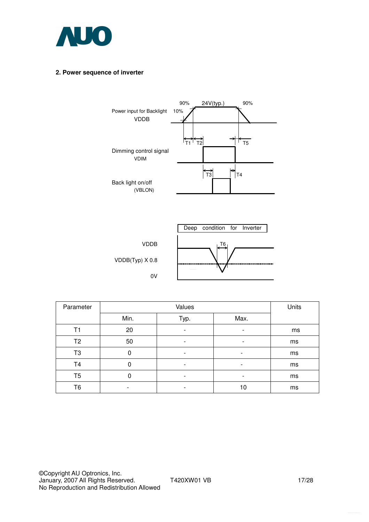

#### **2. Power sequence of inverter**





| Parameter      |                          | Units                    |                          |    |
|----------------|--------------------------|--------------------------|--------------------------|----|
|                | Min.                     | Typ.                     | Max.                     |    |
| T1             | 20                       | $\overline{\phantom{a}}$ | $\overline{\phantom{a}}$ | ms |
| T <sub>2</sub> | 50                       | $\overline{\phantom{a}}$ | $\overline{\phantom{a}}$ | ms |
| T <sub>3</sub> | 0                        | $\overline{\phantom{a}}$ | $\overline{\phantom{0}}$ | ms |
| T4             | 0                        | $\overline{\phantom{a}}$ | $\overline{\phantom{0}}$ | ms |
| T <sub>5</sub> | 0                        | $\overline{\phantom{a}}$ | $\overline{\phantom{a}}$ | ms |
| T6             | $\overline{\phantom{0}}$ | $\overline{\phantom{a}}$ | 10                       | ms |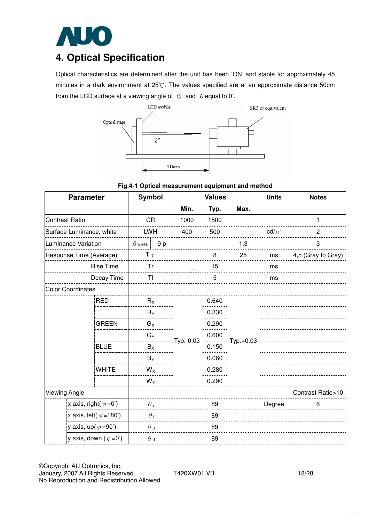

# **4. Optical Specification**

Optical characteristics are determined after the unit has been 'ON' and stable for approximately 45 minutes in a dark environment at 25℃. The values specified are at an approximate distance 50cm from the LCD surface at a viewing angle of  $\Phi$  and  $\theta$  equal to 0°.



**Fig.4-1 Optical measurement equipment and method** 

| <b>Parameter</b>                       |              | <b>Symbol</b>  |                  |           | <b>Values</b> |           | <b>Units</b>    | <b>Notes</b>       |  |  |
|----------------------------------------|--------------|----------------|------------------|-----------|---------------|-----------|-----------------|--------------------|--|--|
|                                        |              |                |                  | Min.      | Typ.          | Max.      |                 |                    |  |  |
| <b>Contrast Ratio</b>                  |              | <b>CR</b>      |                  | 1000      | 1500          |           |                 | 1                  |  |  |
| Surface Luminance, white               |              | <b>LWH</b>     |                  | 400       | 500           |           | $\text{cd/m}^2$ | $\overline{2}$     |  |  |
| Luminance Variation                    |              | $\delta$ white | 9p               |           |               | 1.3       |                 | 3                  |  |  |
| Response Time (Average)                |              | T $\gamma$     |                  |           | 8             | 25        | ms              | 4,5 (Gray to Gray) |  |  |
| <b>Rise Time</b>                       |              | Tr             |                  |           | 15            |           | ms              |                    |  |  |
|                                        | Decay Time   | <b>Tf</b>      |                  |           | 5             |           | ms              |                    |  |  |
| <b>Color Coordinates</b>               |              |                |                  |           |               |           |                 |                    |  |  |
| <b>RED</b>                             |              | $R_X$          |                  |           | 0.640         |           |                 |                    |  |  |
|                                        |              | $R_Y$          |                  |           | 0.330         |           |                 |                    |  |  |
|                                        | <b>GREEN</b> | $G_X$          |                  |           | 0.290         |           |                 |                    |  |  |
|                                        |              | $G_Y$          |                  | Typ.-0.03 | 0.600         | Typ.+0.03 |                 |                    |  |  |
| <b>BLUE</b>                            |              | $B_X$          |                  |           | 0.150         |           |                 |                    |  |  |
|                                        |              | $B_Y$          |                  |           | 0.060         |           |                 |                    |  |  |
| <b>WHITE</b>                           |              | $W_X$          |                  |           | 0.280         |           |                 |                    |  |  |
|                                        |              | $W_Y$          |                  |           | 0.290         |           |                 |                    |  |  |
| <b>Viewing Angle</b>                   |              |                |                  |           |               |           |                 | Contrast Ratio>10  |  |  |
| x axis, right( $\varphi = 0^{\circ}$ ) |              |                | $\theta_{\rm r}$ |           | 89            |           | Degree          | 6                  |  |  |
| x axis, left( $\varphi$ =180°)         |              | $\theta_1$     |                  |           | 89            |           |                 |                    |  |  |
| y axis, up( $\varphi = 90^{\circ}$ )   |              | $\theta$ u     |                  |           | 89            |           |                 |                    |  |  |
| y axis, down ( $\varphi = 0$ °)        |              |                | $\theta$ d       |           | 89            |           |                 |                    |  |  |

©Copyright AU Optronics, Inc. January, 2007 All Rights Reserved. T420XW01 VB 18/28 No Reproduction and Redistribution Allowed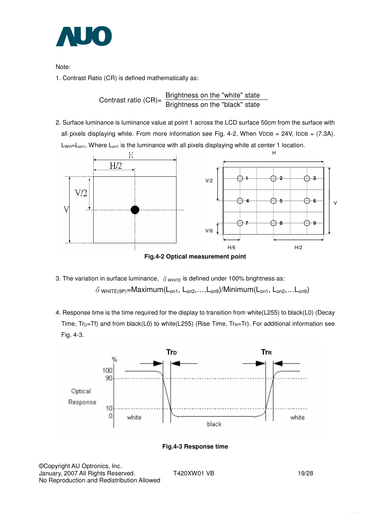

Note:

1. Contrast Ratio (CR) is defined mathematically as:

Contrast ratio  $(CR)$ =  $\frac{Brightness \text{ on the "white" state}}{Brightness \text{ on the "black" state}}$ 

2. Surface luminance is luminance value at point 1 across the LCD surface 50cm from the surface with all pixels displaying white. From more information see Fig. 4-2. When  $V$ DDB = 24V, IDDB =  $(7.3A)$ .  $L_{WH} = L_{on1}$ , Where  $L_{on1}$  is the luminance with all pixels displaying white at center 1 location.



**Fig.4-2 Optical measurement point** 

- 3. The variation in surface luminance,  $\delta$  w<sub>HITE</sub> is defined under 100% brightness as:  $\delta$  white(9P)=Maximum(L<sub>on1</sub>, L<sub>on2</sub>,...,L<sub>on9</sub>)/Minimum(L<sub>on1</sub>, L<sub>on2</sub>,...L<sub>on9</sub>)
- 4. Response time is the time required for the display to transition from white(L255) to black(L0) (Decay Time,  $Tr_D=Tf$ ) and from black(L0) to white(L255) (Rise Time,  $Tr_R=Tr$ ). For additional information see Fig. 4-3.



**Fig.4-3 Response time** 

©Copyright AU Optronics, Inc. January, 2007 All Rights Reserved. T420XW01 VB 19/28 No Reproduction and Redistribution Allowed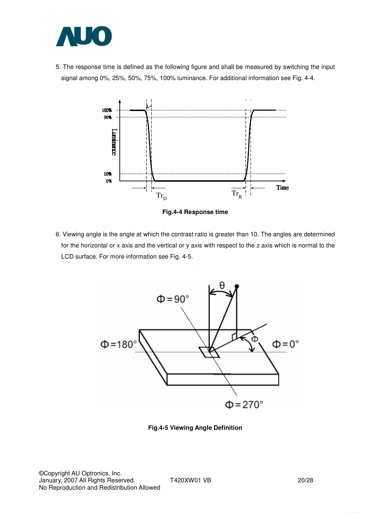

5. The response time is defined as the following figure and shall be measured by switching the input signal among 0%, 25%, 50%, 75%, 100% luminance. For additional information see Fig. 4-4.



**Fig.4-4 Response time** 

6. Viewing angle is the angle at which the contrast ratio is greater than 10. The angles are determined for the horizontal or x axis and the vertical or y axis with respect to the z axis which is normal to the LCD surface. For more information see Fig. 4-5.



**Fig.4-5 Viewing Angle Definition**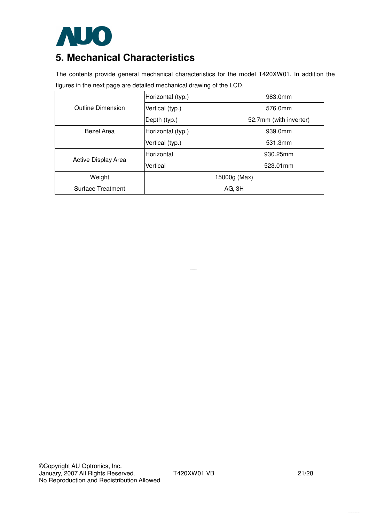

# **5. Mechanical Characteristics**

The contents provide general mechanical characteristics for the model T420XW01. In addition the figures in the next page are detailed mechanical drawing of the LCD.

|                          | Horizontal (typ.) | 983.0mm                |  |  |  |
|--------------------------|-------------------|------------------------|--|--|--|
| Outline Dimension        | Vertical (typ.)   | 576.0mm                |  |  |  |
|                          | Depth (typ.)      | 52.7mm (with inverter) |  |  |  |
| Bezel Area               | Horizontal (typ.) | 939.0mm                |  |  |  |
|                          | Vertical (typ.)   | 531.3mm                |  |  |  |
|                          | Horizontal        | 930.25mm               |  |  |  |
| Active Display Area      | Vertical          | 523.01mm               |  |  |  |
| Weight                   |                   | 15000g (Max)           |  |  |  |
| <b>Surface Treatment</b> | AG, 3H            |                        |  |  |  |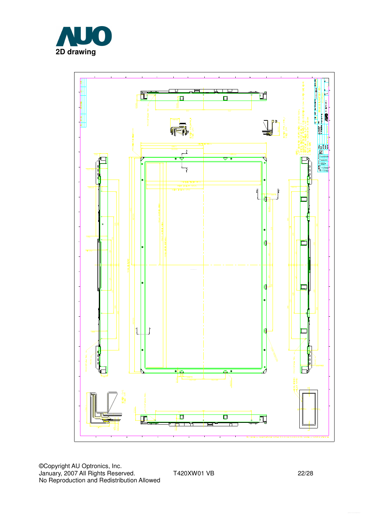



©Copyright AU Optronics, Inc. January, 2007 All Rights Reserved. T420XW01 VB 22/28 No Reproduction and Redistribution Allowed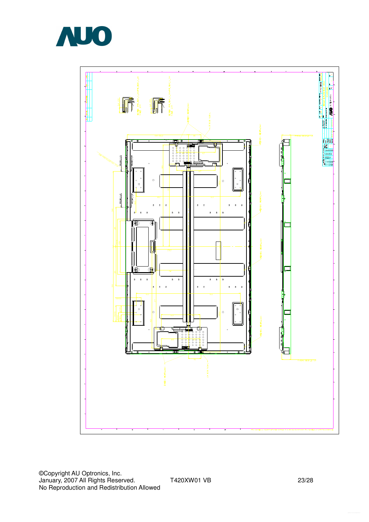

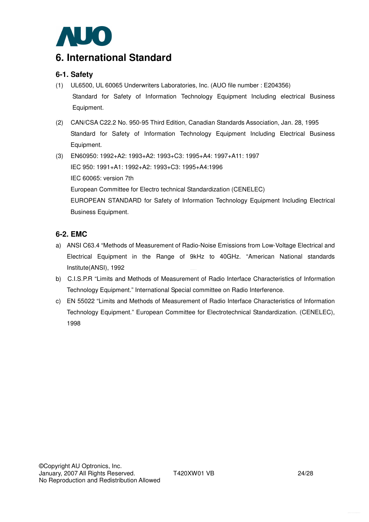

# **6. International Standard**

### **6-1. Safety**

- (1) UL6500, UL 60065 Underwriters Laboratories, Inc. (AUO file number : E204356) Standard for Safety of Information Technology Equipment Including electrical Business Equipment.
- (2) CAN/CSA C22.2 No. 950-95 Third Edition, Canadian Standards Association, Jan. 28, 1995 Standard for Safety of Information Technology Equipment Including Electrical Business Equipment.
- (3) EN60950: 1992+A2: 1993+A2: 1993+C3: 1995+A4: 1997+A11: 1997 IEC 950: 1991+A1: 1992+A2: 1993+C3: 1995+A4:1996 IEC 60065: version 7th European Committee for Electro technical Standardization (CENELEC) EUROPEAN STANDARD for Safety of Information Technology Equipment Including Electrical Business Equipment.

### **6-2. EMC**

- a) ANSI C63.4 "Methods of Measurement of Radio-Noise Emissions from Low-Voltage Electrical and Electrical Equipment in the Range of 9kHz to 40GHz. "American National standards Institute(ANSI), 1992
- b) C.I.S.P.R "Limits and Methods of Measurement of Radio Interface Characteristics of Information Technology Equipment." International Special committee on Radio Interference.
- c) EN 55022 "Limits and Methods of Measurement of Radio Interface Characteristics of Information Technology Equipment." European Committee for Electrotechnical Standardization. (CENELEC), 1998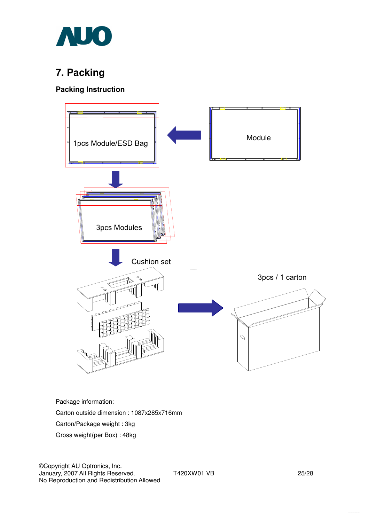

# **7. Packing**

## **Packing Instruction**



Package information:

Carton outside dimension : 1087x285x716mm

Carton/Package weight : 3kg

Gross weight(per Box) : 48kg

©Copyright AU Optronics, Inc. January, 2007 All Rights Reserved. T420XW01 VB 25/28 No Reproduction and Redistribution Allowed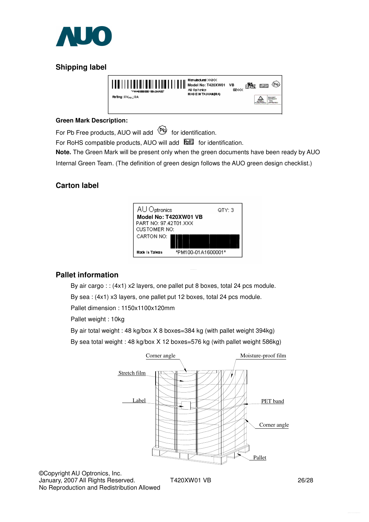

# **Shipping label**

| TENNADEZER DOOR VERHAARDET.<br>Rating: 80, ; 8.A. | Manutachurad XXXXX<br>Model No: T420XW01<br>All Optanics<br>MAD E IN TALARMOMA | VB<br><b>IEXXX</b> | (PI)<br>Roll@<br><b>METT</b><br><b>VALL</b> |
|---------------------------------------------------|--------------------------------------------------------------------------------|--------------------|---------------------------------------------|
|                                                   |                                                                                |                    |                                             |

#### **Green Mark Description:**

For Pb Free products, AUO will add  $\circledast$  for identification.

For RoHS compatible products, AUO will add **ELE** for identification.

**Note.** The Green Mark will be present only when the green documents have been ready by AUO Internal Green Team. (The definition of green design follows the AUO green design checklist.)

### **Carton label**



### **Pallet information**

By air cargo : : (4x1) x2 layers, one pallet put 8 boxes, total 24 pcs module.

By sea : (4x1) x3 layers, one pallet put 12 boxes, total 24 pcs module.

Pallet dimension : 1150x1100x120mm

Pallet weight : 10kg

By air total weight : 48 kg/box X 8 boxes=384 kg (with pallet weight 394kg)

By sea total weight : 48 kg/box X 12 boxes=576 kg (with pallet weight 586kg)



©Copyright AU Optronics, Inc. No Reproduction and Redistribution Allowed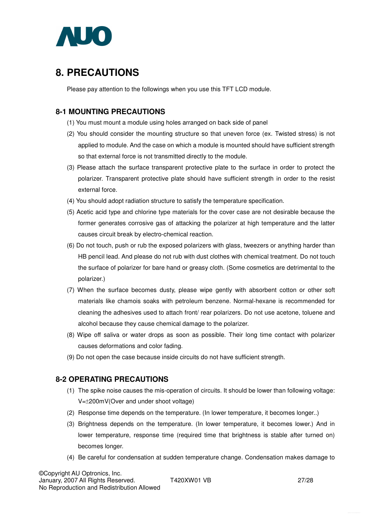

# **8. PRECAUTIONS**

Please pay attention to the followings when you use this TFT LCD module.

## **8-1 MOUNTING PRECAUTIONS**

- (1) You must mount a module using holes arranged on back side of panel
- (2) You should consider the mounting structure so that uneven force (ex. Twisted stress) is not applied to module. And the case on which a module is mounted should have sufficient strength so that external force is not transmitted directly to the module.
- (3) Please attach the surface transparent protective plate to the surface in order to protect the polarizer. Transparent protective plate should have sufficient strength in order to the resist external force.
- (4) You should adopt radiation structure to satisfy the temperature specification.
- (5) Acetic acid type and chlorine type materials for the cover case are not desirable because the former generates corrosive gas of attacking the polarizer at high temperature and the latter causes circuit break by electro-chemical reaction.
- (6) Do not touch, push or rub the exposed polarizers with glass, tweezers or anything harder than HB pencil lead. And please do not rub with dust clothes with chemical treatment. Do not touch the surface of polarizer for bare hand or greasy cloth. (Some cosmetics are detrimental to the polarizer.)
- (7) When the surface becomes dusty, please wipe gently with absorbent cotton or other soft materials like chamois soaks with petroleum benzene. Normal-hexane is recommended for cleaning the adhesives used to attach front/ rear polarizers. Do not use acetone, toluene and alcohol because they cause chemical damage to the polarizer.
- (8) Wipe off saliva or water drops as soon as possible. Their long time contact with polarizer causes deformations and color fading.
- (9) Do not open the case because inside circuits do not have sufficient strength.

### **8-2 OPERATING PRECAUTIONS**

- (1) The spike noise causes the mis-operation of circuits. It should be lower than following voltage: V=±200mV(Over and under shoot voltage)
- (2) Response time depends on the temperature. (In lower temperature, it becomes longer..)
- (3) Brightness depends on the temperature. (In lower temperature, it becomes lower.) And in lower temperature, response time (required time that brightness is stable after turned on) becomes longer.
- (4) Be careful for condensation at sudden temperature change. Condensation makes damage to